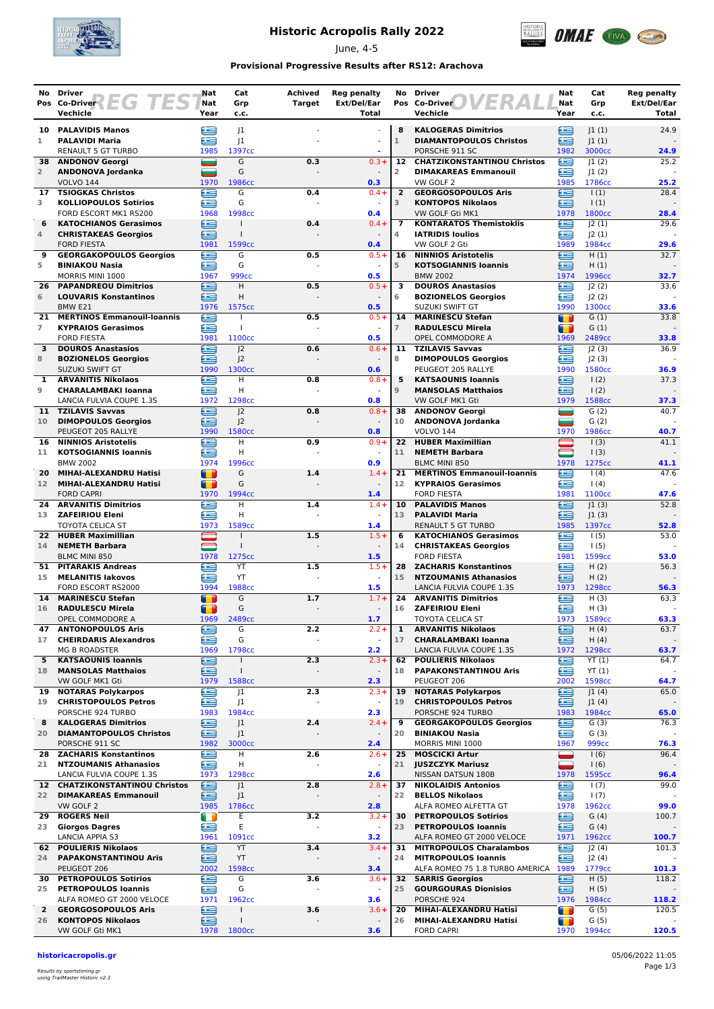

## **Historic Acropolis Rally 2022**

June, 4-5



### **Provisional Progressive Results after RS12: Arachova**

| No                   | <b>Driver</b><br>Pos Co-Driver $E(G)$                          | Nat<br>Nat     | Cat<br>Grp                       | <b>Achived</b><br><b>Target</b> | <b>Reg penalty</b><br>Ext/Del/Ear | No                   | <b>Driver</b><br>Pos Co-Driver                               | Nat<br>Nat     | Cat<br>Grp                  | <b>Reg penalty</b><br>Ext/Del/Ear |
|----------------------|----------------------------------------------------------------|----------------|----------------------------------|---------------------------------|-----------------------------------|----------------------|--------------------------------------------------------------|----------------|-----------------------------|-----------------------------------|
|                      | Vechicle                                                       | Year           | c.c.                             |                                 | <b>Total</b>                      |                      | Vechicle                                                     | Year           | c.c.                        | Total                             |
|                      | 10 PALAVIDIS Manos                                             | £              | 1                                |                                 |                                   | 8                    | <b>KALOGERAS Dimitrios</b>                                   | £              | 1(1)                        | 24.9                              |
| 1                    | <b>PALAVIDI Maria</b>                                          | æ              | 1                                |                                 |                                   | $\mathbf{1}$         | <b>DIAMANTOPOULOS Christos</b>                               | £              | 1(1)                        |                                   |
| 38                   | RENAULT 5 GT TURBO<br><b>ANDONOV Georgi</b>                    | 1985<br>÷      | 1397cc<br>G                      | 0.3                             | $0.3 +$                           | 12                   | PORSCHE 911 SC<br><b>CHATZIKONSTANTINOU Christos</b>         | 1982<br>œ      | 3000cc<br> 1(2)             | 24.9<br>25.2                      |
| $\overline{2}$       | ANDONOVA Jordanka                                              | ╾              | G                                |                                 |                                   | $\overline{2}$       | <b>DIMAKAREAS Emmanouil</b>                                  | £              | 1(2)                        |                                   |
|                      | <b>VOLVO 144</b>                                               | 1970           | 1986cc                           |                                 | 0.3                               |                      | VW GOLF 2                                                    | 1985           | 1786cc                      | 25.2                              |
| 17<br>3              | <b>TSIOGKAS Christos</b><br><b>KOLLIOPOULOS Sotirios</b>       | æ<br>£         | G<br>G                           | 0.4                             | $0.4 +$                           | $\overline{2}$<br>3  | <b>GEORGOSOPOULOS Aris</b><br><b>KONTOPOS Nikolaos</b>       | œ<br>£         | $\vert$ (1)<br>$\vert$ (1)  | 28.4                              |
|                      | FORD ESCORT MK1 RS200                                          | 1968           | 1998cc                           |                                 | 0.4                               |                      | VW GOLF Gti MK1                                              | 1978           | 1800 <sub>cc</sub>          | 28.4                              |
| 6                    | <b>KATOCHIANOS Gerasimos</b>                                   | œ              | $\mathbf{I}$                     | 0.4                             | $0.4 +$                           | $\overline{7}$       | <b>KONTARATOS Themistoklis</b>                               | £              | 2(1)                        | 29.6                              |
| 4                    | <b>CHRISTAKEAS Georgios</b><br><b>FORD FIESTA</b>              | Œ<br>1981      | $\mathbf{I}$<br>1599cc           |                                 | 0.4                               | 4                    | <b>IATRIDIS Ioulios</b><br>VW GOLF 2 Gti                     | £<br>1989      | 2(1) <br>1984cc             | 29.6                              |
| 9                    | <b>GEORGAKOPOULOS Georgios</b>                                 | £              | G                                | 0.5                             | $0.5 +$                           | 16                   | <b>NINNIOS Aristotelis</b>                                   | e              | H(1)                        | 32.7                              |
| 5                    | <b>BINIAKOU Nasia</b>                                          | æ              | G                                |                                 | $\blacksquare$                    | 5                    | <b>KOTSOGIANNIS loannis</b>                                  | œ              | H(1)                        |                                   |
| 26                   | MORRIS MINI 1000<br><b>PAPANDREOU Dimitrios</b>                | 1967<br>œ      | 999cc<br>Н                       | 0.5                             | 0.5<br>$0.5 +$                    | 3                    | <b>BMW 2002</b><br><b>DOUROS Anastasios</b>                  | 1974<br>Æ      | 1996сс<br> 2(2)             | 32.7<br>33.6                      |
| 6                    | <b>LOUVARIS Konstantinos</b>                                   | ≘              | H                                |                                 |                                   | 6                    | <b>BOZIONELOS Georgios</b>                                   | £              | J2(2)                       |                                   |
|                      | BMW <sub>E21</sub>                                             | 1976           | 1575cc                           |                                 | 0.5                               |                      | SUZUKI SWIFT GT                                              | 1990           | 1300cc                      | 33.6                              |
| 21<br>$\overline{7}$ | <b>MERTINOS Emmanouil-Ioannis</b><br><b>KYPRAIOS Gerasimos</b> | £<br>œ         | H<br>$\mathbf{I}$                | 0.5                             | $0.5 +$                           | 14<br>$\overline{7}$ | <b>MARINESCU Stefan</b><br><b>RADULESCU Mirela</b>           | т<br>П         | G(1)<br>G(1)                | 33.8                              |
|                      | <b>FORD FIESTA</b>                                             | 1981           | 1100cc                           |                                 | 0.5                               |                      | OPEL COMMODORE A                                             | 1969           | 2489cc                      | 33.8                              |
| 3                    | <b>DOUROS Anastasios</b>                                       | e              | 2                                | 0.6                             | $0.6 +$                           |                      | 11 TZILAVIS Savvas                                           | œ              | 2(3)                        | 36.9                              |
| 8                    | <b>BOZIONELOS Georgios</b><br>SUZUKI SWIFT GT                  | æ<br>1990      | J <sub>2</sub><br>1300cc         |                                 | 0.6                               | 8                    | <b>DIMOPOULOS Georgios</b><br>PEUGEOT 205 RALLYE             | £<br>1990      | J2(3)<br>1580 <sub>cc</sub> | 36.9                              |
| 1                    | <b>ARVANITIS Nikolaos</b>                                      | œ              | H                                | 0.8                             | $0.8 +$                           | 5                    | <b>KATSAOUNIS Ioannis</b>                                    | £              | $\vert$ (2)                 | 37.3                              |
| 9                    | <b>CHARALAMBAKI Ioanna</b>                                     | ≘              | н                                |                                 | $\omega$                          | 9                    | <b>MANSOLAS Matthaios</b>                                    | ≘              | $\frac{1(2)}{2}$            |                                   |
| 11                   | LANCIA FULVIA COUPE 1.3S<br><b>TZILAVIS Savvas</b>             | 1972<br>£      | 1298cc<br>J <sub>2</sub>         | 0.8                             | 0.8<br>$0.8 +$                    | 38                   | VW GOLF MK1 Gti<br><b>ANDONOV Georgi</b>                     | 1979<br>═      | 1588cc<br>G(2)              | 37.3<br>40.7                      |
| 10                   | <b>DIMOPOULOS Georgios</b>                                     | £              | 2                                |                                 | $\blacksquare$                    | 10                   | ANDONOVA Jordanka                                            | =              | G(2)                        |                                   |
|                      | PEUGEOT 205 RALLYE                                             | 1990           | 1580cc                           |                                 | 0.8                               |                      | <b>VOLVO 144</b>                                             | 1970           | 1986cc                      | 40.7                              |
| 16<br>11             | <b>NINNIOS Aristotelis</b><br><b>KOTSOGIANNIS Ioannis</b>      | £<br>œ         | H<br>H                           | 0.9                             | $0.9 +$                           | 11                   | 22 HUBER Maximillian<br><b>NEMETH Barbara</b>                |                | 1(3)<br>(3)                 | 41.1                              |
|                      | <b>BMW 2002</b>                                                | 1974           | 1996cc                           |                                 | 0.9                               |                      | <b>BLMC MINI 850</b>                                         | 1978           | 1275cc                      | 41.1                              |
| 20                   | MIHAI-ALEXANDRU Hatisi                                         | $\blacksquare$ | G                                | 1.4                             | $1.4 +$                           | 21                   | <b>MERTINOS Emmanouil-Ioannis</b>                            | œ              | 1(4)                        | 47.6                              |
| 12 <sup>7</sup>      | MIHAI-ALEXANDRU Hatisi<br><b>FORD CAPRI</b>                    | m<br>1970      | G<br>1994 <sub>cc</sub>          |                                 | 1.4                               | 12 <sup>7</sup>      | <b>KYPRAIOS Gerasimos</b><br><b>FORD FIESTA</b>              | £<br>1981      | 1(4)<br>1100 <sub>cc</sub>  | 47.6                              |
| 24                   | <b>ARVANITIS Dimitrios</b>                                     | Œ              | H                                | 1.4                             | $1.4 +$                           | 10                   | <b>PALAVIDIS Manos</b>                                       | £              | 1(3)                        | 52.8                              |
| 13                   | <b>ZAFEIRIOU Eleni</b>                                         | œ              | H                                |                                 |                                   | 13                   | <b>PALAVIDI Maria</b>                                        | £              | 1(3)                        |                                   |
| 22                   | <b>TOYOTA CELICA ST</b><br><b>HUBER Maximillian</b>            | 1973           | 1589cc<br>$\mathbf{I}$           | 1.5                             | 1.4<br>$1.5+$                     | 6                    | <b>RENAULT 5 GT TURBO</b><br><b>KATOCHIANOS Gerasimos</b>    | 1985<br>£      | 1397cc<br>1(5)              | 52.8<br>53.0                      |
| 14                   | <b>NEMETH Barbara</b>                                          |                | $\mathbf{I}$                     |                                 |                                   | 14                   | <b>CHRISTAKEAS Georgios</b>                                  | ⋐              | 1(5)                        |                                   |
|                      | <b>BLMC MINI 850</b>                                           | 1978           | 1275cc                           |                                 | 1.5                               |                      | <b>FORD FIESTA</b>                                           | 1981           | 1599cc                      | 53.0                              |
| 51<br>15             | <b>PITARAKIS Andreas</b><br><b>MELANITIS lakovos</b>           | e<br>œ         | YT<br>YT                         | 1.5                             | $1.5+$<br>$\omega$                | 28<br>15             | <b>ZACHARIS Konstantinos</b><br><b>NTZOUMANIS Athanasios</b> | £<br>£         | H(2)<br>H(2)                | 56.3                              |
|                      | FORD ESCORT RS2000                                             | 1994           | 1988cc                           |                                 | 1.5                               |                      | LANCIA FULVIA COUPE 1.3S                                     | 1973           | 1298cc                      | 56.3                              |
| 14                   | <b>MARINESCU Stefan</b>                                        | T              | G                                | 1.7                             | $1.7 +$                           | 24                   | <b>ARVANITIS Dimitrios</b>                                   | €              | H(3)                        | 63.3                              |
| 16                   | <b>RADULESCU Mirela</b><br>OPEL COMMODORE A                    | т<br>1969      | G<br>2489 <sub>cc</sub>          |                                 | 1.7                               | 16                   | <b>ZAFEIRIOU Eleni</b><br><b>TOYOTA CELICA ST</b>            | œ<br>1973      | H(3)<br>1589cc              | 63.3                              |
| 47                   | <b>ANTONOPOULOS Aris</b>                                       | ≊              | G                                | 2.2                             | $2.2 +$                           | 1                    | <b>ARVANITIS Nikolaos</b>                                    | ≘              | H(4)                        | 63.7                              |
| 17                   | <b>CHEIRDARIS Alexandros</b>                                   | £              | G                                |                                 | $\blacksquare$                    | 17                   | <b>CHARALAMBAKI Ioanna</b>                                   | ≘              | H(4)                        |                                   |
| 5                    | <b>MG B ROADSTER</b><br><b>KATSAOUNIS Ioannis</b>              | 1969<br>€      | 1798cc<br>$\mathbf{I}$           | 2.3                             | 2.2<br>$2.3 +$                    | 62                   | LANCIA FULVIA COUPE 1.3S<br><b>POULIERIS Nikolaos</b>        | 1972<br>€      | 1298cc<br>YT(1)             | 63.7<br>64.7                      |
| 18                   | <b>MANSOLAS Matthaios</b>                                      | ≘              | $\mathbf{I}$                     |                                 | $\overline{\phantom{a}}$          | 18                   | <b>PAPAKONSTANTINOU Aris</b>                                 | 鱼              | YT(1)                       |                                   |
|                      | VW GOLF MK1 Gti<br><b>NOTARAS Polykarpos</b>                   | 1979           | 1588cc                           |                                 | 2.3                               |                      | PEUGEOT 206                                                  | 2002<br>€      | 1598cc                      | 64.7                              |
| 19<br>19             | <b>CHRISTOPOULOS Petros</b>                                    | G<br>£         | J1<br>J <sub>1</sub>             | 2.3                             | $2.3+$<br>$\blacksquare$          | 19<br>19             | <b>NOTARAS Polykarpos</b><br><b>CHRISTOPOULOS Petros</b>     | £              | J1(4)<br>J1(4)              | 65.0                              |
|                      | PORSCHE 924 TURBO                                              | 1983           | 1984cc                           |                                 | 2.3                               |                      | PORSCHE 924 TURBO                                            | 1983           | 1984cc                      | 65.0                              |
| 8<br>20              | <b>KALOGERAS Dimitrios</b><br><b>DIAMANTOPOULOS Christos</b>   | ≘<br>œ         | J <sub>1</sub><br>J <sub>1</sub> | 2.4                             | $2.4 +$                           | 9<br>20              | <b>GEORGAKOPOULOS Georgios</b><br><b>BINIAKOU Nasia</b>      | £<br>≘         | G(3)<br>G(3)                | 76.3                              |
|                      | PORSCHE 911 SC                                                 | 1982           | 3000cc                           |                                 | 2.4                               |                      | MORRIS MINI 1000                                             | 1967           | 999 <sub>cc</sub>           | 76.3                              |
| 28                   | <b>ZACHARIS Konstantinos</b>                                   | ≘              | н                                | 2.6                             | $2.6 +$                           | 25                   | <b>MOSCICKI Artur</b>                                        | ▄              | 1(6)                        | 96.4                              |
| 21                   | <b>NTZOUMANIS Athanasios</b><br>LANCIA FULVIA COUPE 1.3S       | œ<br>1973      | н<br>1298cc                      |                                 | $\blacksquare$<br>2.6             | 21                   | <b>JUSZCZYK Mariusz</b><br>NISSAN DATSUN 180B                | —<br>1978      | 1(6)<br>1595cc              | 96.4                              |
|                      | 12 CHATZIKONSTANTINOU Christos                                 | ఆ              | J <sub>1</sub>                   | 2.8                             | $2.8 +$                           | 37                   | <b>NIKOLAIDIS Antonios</b>                                   | œ              | 1(7)                        | 99.0                              |
| 22                   | <b>DIMAKAREAS Emmanouil</b>                                    | £              | J <sub>1</sub>                   |                                 |                                   | 22                   | <b>BELLOS Nikolaos</b>                                       | £              | 1(7)                        |                                   |
| 29                   | VW GOLF 2<br><b>ROGERS Neil</b>                                | 1985<br>Œ      | 1786cc<br>Ε                      | 3.2                             | 2.8<br>$3.2 +$                    | 30                   | ALFA ROMEO ALFETTA GT<br><b>PETROPOULOS Sotirios</b>         | 1978<br>∈      | 1962cc<br>G(4)              | 99.0<br>100.7                     |
| 23                   | <b>Giorgos Dagres</b>                                          | Æ              | Ε                                | L.                              | $\blacksquare$                    | 23                   | <b>PETROPOULOS Ioannis</b>                                   | ≘              | G(4)                        |                                   |
|                      | LANCIA APPIA S3                                                | 1961           | 1091cc                           |                                 | 3.2                               |                      | ALFA ROMEO GT 2000 VELOCE                                    | 1971           | 1962cc                      | 100.7                             |
| 62.<br>24            | <b>POULIERIS Nikolaos</b><br><b>PAPAKONSTANTINOU Aris</b>      | £<br>ఆ         | YT<br>YT                         | 3.4                             | $3.4 +$<br>$\blacksquare$         | 31<br>24             | <b>MITROPOULOS Charalambos</b><br><b>MITROPOULOS Ioannis</b> | £<br>£         | J2(4)<br>J2(4)              | 101.3                             |
|                      | PEUGEOT 206                                                    | 2002           | 1598cc                           |                                 | 3.4                               |                      | ALFA ROMEO 75 1.8 TURBO AMERICA 1989                         |                | 1779 <sub>cc</sub>          | 101.3                             |
|                      | 30 PETROPOULOS Sotirios                                        | ⊜              | G                                | 3.6                             | $3.6+$                            | 32                   | <b>SARRIS Georgios</b>                                       | €              | H (5)                       | 118.2                             |
| 25                   | <b>PETROPOULOS Ioannis</b><br>ALFA ROMEO GT 2000 VELOCE        | ∈<br>1971      | G<br>1962 <sub>cc</sub>          |                                 | $\blacksquare$<br>3.6             | 25                   | <b>GOURGOURAS Dionisios</b><br>PORSCHE 924                   | ∈<br>1976      | H(5)<br>1984cc              | 118.2                             |
| $\mathbf{2}$         | <b>GEORGOSOPOULOS Aris</b>                                     | ≘              | $\mathbf{I}$                     | 3.6                             | $3.6+$                            | 20                   | MIHAI-ALEXANDRU Hatisi                                       | т              | G(5)                        | 120.5                             |
| 26                   | <b>KONTOPOS Nikolaos</b>                                       | ≘              | $\mathbf{I}$                     |                                 |                                   | 26                   | MIHAI-ALEXANDRU Hatisi                                       | $\blacksquare$ | G(5)                        |                                   |
|                      | VW GOLF Gti MK1                                                | 1978           | 1800 <sub>cc</sub>               |                                 | 3.6                               |                      | <b>FORD CAPRI</b>                                            | 1970           | 1994 <sub>cc</sub>          | 120.5                             |

**historicacropolis.gr** 05/06/2022 11:05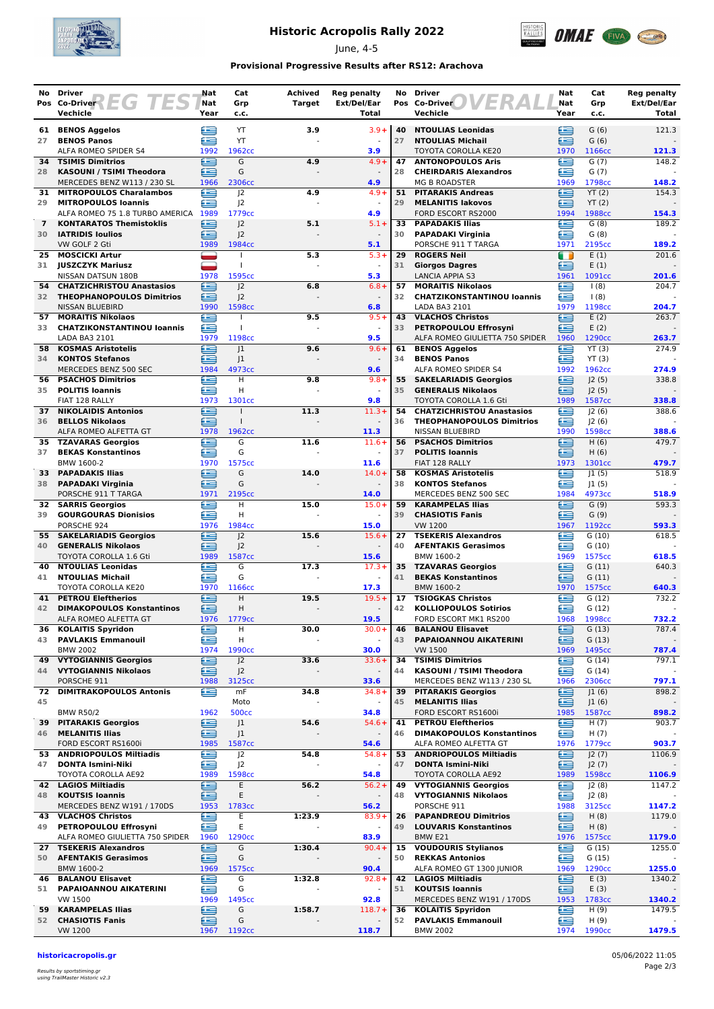

## **Historic Acropolis Rally 2022**

June, 4-5



#### **Provisional Progressive Results after RS12: Arachova**

| No.            | <b>Driver</b>                                                                                                                                                                                                                                                                                                                                | Nat<br>Nat | Cat<br>Grp               | Achived<br><b>Target</b> | <b>Reg penalty</b><br>Ext/Del/Ear | No       | <b>Driver</b><br>FR<br>Pos Co-Driver                          | Nat<br>Nat | Cat<br>Grp                 | Reg penalty<br>Ext/Del/Ear |
|----------------|----------------------------------------------------------------------------------------------------------------------------------------------------------------------------------------------------------------------------------------------------------------------------------------------------------------------------------------------|------------|--------------------------|--------------------------|-----------------------------------|----------|---------------------------------------------------------------|------------|----------------------------|----------------------------|
|                | Pos Co-Driver $\left\{ \begin{array}{cc} \[-1.5mm] \[-1.5mm] \[-1.5mm] \[-1.5mm] \[-1.5mm] \[-1.5mm] \[-1.5mm] \[-1.5mm] \[-1.5mm] \[-1.5mm] \[-1.5mm] \[-1.5mm] \[-1.5mm] \[-1.5mm] \[-1.5mm] \[-1.5mm] \[-1.5mm] \[-1.5mm] \[-1.5mm] \[-1.5mm] \[-1.5mm] \[-1.5mm] \[-1.5mm] \[-1.5mm] \[-1.5mm] \[-1.5mm] \[-1.5mm] \[-1.5mm$<br>Vechicle | Year       | c.c.                     |                          | <b>Total</b>                      |          | Vechicle                                                      | Year       | c.c.                       | Total                      |
| 61             | <b>BENOS Aggelos</b>                                                                                                                                                                                                                                                                                                                         | œ          | YT                       | 3.9                      | $3.9 +$                           | 40       | <b>NTOULIAS Leonidas</b>                                      | £          | G(6)                       | 121.3                      |
| 27             | <b>BENOS Panos</b>                                                                                                                                                                                                                                                                                                                           | œ          | YT                       |                          |                                   | 27       | <b>NTOULIAS Michail</b>                                       | £          | G(6)                       |                            |
|                | ALFA ROMEO SPIDER S4                                                                                                                                                                                                                                                                                                                         | 1992       | 1962cc                   |                          | 3.9                               |          | TOYOTA COROLLA KE20                                           | 1970       | 1166cc                     | 121.3                      |
| 34<br>28       | <b>TSIMIS Dimitrios</b><br>KASOUNI / TSIMI Theodora                                                                                                                                                                                                                                                                                          | ≘<br>∈     | G<br>G                   | 4.9                      | $4.9 +$                           | 47<br>28 | <b>ANTONOPOULOS Aris</b><br><b>CHEIRDARIS Alexandros</b>      | £<br>∈     | G(7)<br>G(7)               | 148.2                      |
|                | MERCEDES BENZ W113 / 230 SL                                                                                                                                                                                                                                                                                                                  | 1966       | 2306cc                   |                          | 4.9                               |          | <b>MG B ROADSTER</b>                                          | 1969       | 1798cc                     | 148.2                      |
| 31             | <b>MITROPOULOS Charalambos</b>                                                                                                                                                                                                                                                                                                               | œ          | 2                        | 4.9                      | $4.9 +$                           | 51       | <b>PITARAKIS Andreas</b>                                      | ∈          | YT(2)                      | 154.3                      |
| 29             | <b>MITROPOULOS Ioannis</b>                                                                                                                                                                                                                                                                                                                   | æ          | J <sup>2</sup>           |                          | $\sim$                            | 29       | <b>MELANITIS lakovos</b>                                      | œ          | YT(2)                      |                            |
| $\overline{7}$ | ALFA ROMEO 75 1.8 TURBO AMERICA 1989<br><b>KONTARATOS Themistoklis</b>                                                                                                                                                                                                                                                                       | ∈          | 1779cc<br>J <sub>2</sub> | 5.1                      | 4.9<br>$5.1+$                     | 33       | FORD ESCORT RS2000<br><b>PAPADAKIS Ilias</b>                  | 1994<br>€  | 1988cc<br>G(8)             | 154.3<br>189.2             |
| 30             | <b>IATRIDIS Ioulios</b>                                                                                                                                                                                                                                                                                                                      | £          | J <sub>2</sub>           |                          |                                   | 30       | <b>PAPADAKI Virginia</b>                                      | £          | G(8)                       |                            |
|                | VW GOLF 2 Gti                                                                                                                                                                                                                                                                                                                                | 1989       | 1984cc                   |                          | 5.1                               |          | PORSCHE 911 T TARGA                                           | 1971       | 2195cc                     | 189.2                      |
| 25<br>31       | <b>MOSCICKI Artur</b><br><b>JUSZCZYK Mariusz</b>                                                                                                                                                                                                                                                                                             |            | $\mathbf{I}$             | 5.3                      | $5.3+$<br>$\blacksquare$          | 29<br>31 | <b>ROGERS Neil</b><br><b>Giorgos Dagres</b>                   | n<br>£     | E(1)<br>E(1)               | 201.6                      |
|                | NISSAN DATSUN 180B                                                                                                                                                                                                                                                                                                                           | 1978       | 1595cc                   |                          | 5.3                               |          | <b>LANCIA APPIA S3</b>                                        | 1961       | 1091cc                     | 201.6                      |
| 54             | <b>CHATZICHRISTOU Anastasios</b>                                                                                                                                                                                                                                                                                                             | œ          | 2                        | 6.8                      | $6.8 +$                           | 57       | <b>MORAITIS Nikolaos</b>                                      | œ          | (8)                        | 204.7                      |
| 32             | <b>THEOPHANOPOULOS Dimitrios</b>                                                                                                                                                                                                                                                                                                             | £          | J <sub>2</sub>           |                          |                                   | 32       | <b>CHATZIKONSTANTINOU loannis</b>                             | £          | 1(8)                       |                            |
| 57             | <b>NISSAN BLUEBIRD</b><br><b>MORAITIS Nikolaos</b>                                                                                                                                                                                                                                                                                           | 1990<br>œ  | 1598cc                   | 9.5                      | 6.8<br>$9.5+$                     | 43       | LADA BA3 2101<br><b>VLACHOS Christos</b>                      | 1979<br>€  | 1198cc<br>E(2)             | 204.7<br>263.7             |
| 33             | <b>CHATZIKONSTANTINOU loannis</b>                                                                                                                                                                                                                                                                                                            | £          | T                        |                          |                                   | 33       | PETROPOULOU Effrosyni                                         | œ          | E(2)                       |                            |
|                | LADA BA3 2101                                                                                                                                                                                                                                                                                                                                | 1979       | 1198cc                   |                          | 9.5                               |          | ALFA ROMEO GIULIETTA 750 SPIDER                               | 1960       | 1290cc                     | 263.7                      |
| 58<br>34       | <b>KOSMAS Aristotelis</b><br><b>KONTOS Stefanos</b>                                                                                                                                                                                                                                                                                          | œ<br>≘     | 1<br>J1                  | 9.6                      | $9.6 +$                           | 61<br>34 | <b>BENOS Aggelos</b><br><b>BENOS Panos</b>                    | œ<br>£     | YT(3)<br>YT(3)             | 274.9                      |
|                | MERCEDES BENZ 500 SEC                                                                                                                                                                                                                                                                                                                        | 1984       | 4973cc                   |                          | 9.6                               |          | ALFA ROMEO SPIDER S4                                          | 1992       | 1962cc                     | 274.9                      |
| 56             | <b>PSACHOS Dimitrios</b>                                                                                                                                                                                                                                                                                                                     | œ          | н                        | 9.8                      | $9.8 +$                           | 55       | <b>SAKELARIADIS Georgios</b>                                  | £          | J2(5)                      | 338.8                      |
| 35             | <b>POLITIS Ioannis</b>                                                                                                                                                                                                                                                                                                                       | œ          | н                        |                          | $\overline{\phantom{a}}$          | 35       | <b>GENERALIS Nikolaos</b>                                     | ≘          | J2(5)                      |                            |
| 37             | FIAT 128 RALLY<br><b>NIKOLAIDIS Antonios</b>                                                                                                                                                                                                                                                                                                 | 1973<br>∈  | 1301cc<br>$\mathbf{I}$   | 11.3                     | 9.8<br>$11.3+$                    | 54       | TOYOTA COROLLA 1.6 Gti<br><b>CHATZICHRISTOU Anastasios</b>    | 1989<br>œ  | 1587cc<br> 2(6)            | 338.8<br>388.6             |
| 36             | <b>BELLOS Nikolaos</b>                                                                                                                                                                                                                                                                                                                       | æ          | $\mathbf{I}$             |                          |                                   | 36       | <b>THEOPHANOPOULOS Dimitrios</b>                              | œ          | J2(6)                      |                            |
|                | ALFA ROMEO ALFETTA GT                                                                                                                                                                                                                                                                                                                        | 1978       | 1962cc                   |                          | 11.3                              |          | NISSAN BLUEBIRD                                               | 1990       | 1598cc                     | 388.6                      |
| 37             | 35 TZAVARAS Georgios<br><b>BEKAS Konstantinos</b>                                                                                                                                                                                                                                                                                            | Œ<br>£     | G<br>G                   | 11.6                     | $11.6+$                           | 56<br>37 | <b>PSACHOS Dimitrios</b><br><b>POLITIS Ioannis</b>            | £<br>≘     | H(6)<br>H(6)               | 479.7                      |
|                | BMW 1600-2                                                                                                                                                                                                                                                                                                                                   | 1970       | 1575cc                   |                          | 11.6                              |          | FIAT 128 RALLY                                                | 1973       | 1301cc                     | 479.7                      |
| 33             | <b>PAPADAKIS Ilias</b>                                                                                                                                                                                                                                                                                                                       | ≘          | G                        | 14.0                     | $14.0+$                           | 58       | <b>KOSMAS Aristotelis</b>                                     | £          | 1(5)                       | 518.9                      |
| 38             | <b>PAPADAKI Virginia</b>                                                                                                                                                                                                                                                                                                                     | £          | G                        |                          |                                   | 38       | <b>KONTOS Stefanos</b>                                        | £          | 1(5)                       |                            |
| 32             | PORSCHE 911 T TARGA<br><b>SARRIS Georgios</b>                                                                                                                                                                                                                                                                                                | 1971<br>≘  | 2195cc<br>н              | 15.0                     | 14.0<br>$15.0+$                   | 59       | MERCEDES BENZ 500 SEC<br><b>KARAMPELAS Ilias</b>              | 1984<br>œ  | 4973cc<br>G(9)             | 518.9<br>593.3             |
| 39             | <b>GOURGOURAS Dionisios</b>                                                                                                                                                                                                                                                                                                                  | Æ          | н                        |                          |                                   | 39       | <b>CHASIOTIS Fanis</b>                                        | œ          | G(9)                       |                            |
|                | PORSCHE 924                                                                                                                                                                                                                                                                                                                                  | 1976       | 1984cc                   |                          | 15.0                              |          | <b>VW 1200</b>                                                | 1967       | 1192cc                     | 593.3                      |
| 40             | 55 SAKELARIADIS Georgios<br><b>GENERALIS Nikolaos</b>                                                                                                                                                                                                                                                                                        | ≘<br>£     | 2<br>J <sup>2</sup>      | 15.6                     | $15.6+$                           | 27<br>40 | <b>TSEKERIS Alexandros</b><br><b>AFENTAKIS Gerasimos</b>      | ≘<br>£     | G(10)<br>G(10)             | 618.5                      |
|                | <b>TOYOTA COROLLA 1.6 Gti</b>                                                                                                                                                                                                                                                                                                                | 1989       | 1587cc                   |                          | 15.6                              |          | BMW 1600-2                                                    | 1969       | 1575cc                     | 618.5                      |
| 40             | <b>NTOULIAS Leonidas</b>                                                                                                                                                                                                                                                                                                                     | æ          | G                        | 17.3                     | $17.3+$                           | 35       | <b>TZAVARAS Georgios</b>                                      | œ          | G(11)                      | 640.3                      |
| 41             | <b>NTOULIAS Michail</b>                                                                                                                                                                                                                                                                                                                      | £          | G<br>1166cc              |                          | $\omega$                          | 41       | <b>BEKAS Konstantinos</b>                                     | £          | G(11)                      |                            |
| 41             | TOYOTA COROLLA KE20<br><b>PETROU Eleftherios</b>                                                                                                                                                                                                                                                                                             | 1970<br>∈  | H                        | 19.5                     | 17.3<br>$19.5+$                   | 17       | BMW 1600-2<br><b>TSIOGKAS Christos</b>                        | 1970<br>£  | 1575cc<br>G(12)            | 640.3<br>732.2             |
| 42             | <b>DIMAKOPOULOS Konstantinos</b>                                                                                                                                                                                                                                                                                                             | ∈          | Н                        |                          |                                   | 42       | <b>KOLLIOPOULOS Sotirios</b>                                  | ≘          | G(12)                      |                            |
|                | ALFA ROMEO ALFETTA GT                                                                                                                                                                                                                                                                                                                        | 1976       | 1779 <sub>cc</sub>       |                          | 19.5                              |          | FORD ESCORT MK1 RS200                                         | 1968       | 1998cc                     | 732.2                      |
| 36<br>43       | <b>KOLAITIS Spyridon</b><br><b>PAVLAKIS Emmanouil</b>                                                                                                                                                                                                                                                                                        | ⊜<br>£     | н<br>Н                   | 30.0                     | $30.0+$                           | 46<br>43 | <b>BALANOU Elisavet</b><br>PAPAIOANNOU AIKATERINI             | ≘<br>£     | G(13)<br>G(13)             | 787.4                      |
|                | <b>BMW 2002</b>                                                                                                                                                                                                                                                                                                                              | 1974       | 1990 <sub>cc</sub>       |                          | 30.0                              |          | <b>VW 1500</b>                                                | 1969       | 1495cc                     | 787.4                      |
| 49 -           | <b>VYTOGIANNIS Georgios</b>                                                                                                                                                                                                                                                                                                                  | e          | J <sup>2</sup>           | 33.6                     | $33.6+$                           | 34       | <b>TSIMIS Dimitrios</b>                                       | œ          | G(14)                      | 797.1                      |
| 44             | <b>VYTOGIANNIS Nikolaos</b>                                                                                                                                                                                                                                                                                                                  | ఆ          | J <sup>2</sup>           |                          | $\overline{\phantom{a}}$          | 44       | KASOUNI / TSIMI Theodora                                      | £          | G(14)                      |                            |
| 72             | PORSCHE 911<br><b>DIMITRAKOPOULOS Antonis</b>                                                                                                                                                                                                                                                                                                | 1988<br>≘  | 3125cc<br>mF             | 34.8                     | 33.6<br>$34.8+$                   | 39       | MERCEDES BENZ W113 / 230 SL<br><b>PITARAKIS Georgios</b>      | 1966<br>⊜  | 2306cc<br>J1(6)            | 797.1<br>898.2             |
| 45             |                                                                                                                                                                                                                                                                                                                                              |            | Moto                     |                          |                                   | 45       | <b>MELANITIS Ilias</b>                                        | ∈          | J1(6)                      |                            |
|                | <b>BMW R50/2</b>                                                                                                                                                                                                                                                                                                                             | 1962       | <b>500cc</b>             |                          | 34.8                              |          | FORD ESCORT RS1600i                                           | 1985       | 1587cc                     | 898.2                      |
| 39<br>46       | <b>PITARAKIS Georgios</b><br><b>MELANITIS Ilias</b>                                                                                                                                                                                                                                                                                          | ∈<br>≘     | J1<br>J <sub>1</sub>     | 54.6                     | $54.6+$                           | 41<br>46 | <b>PETROU Eleftherios</b><br><b>DIMAKOPOULOS Konstantinos</b> | £<br>œ     | H(7)<br>H(7)               | 903.7                      |
|                | FORD ESCORT RS1600i                                                                                                                                                                                                                                                                                                                          | 1985       | 1587cc                   |                          | 54.6                              |          | ALFA ROMEO ALFETTA GT                                         | 1976       | 1779 <sub>cc</sub>         | 903.7                      |
| 53.            | <b>ANDRIOPOULOS Miltiadis</b>                                                                                                                                                                                                                                                                                                                | ⋐          | J <sub>2</sub>           | 54.8                     | $54.8+$                           | 53       | <b>ANDRIOPOULOS Miltiadis</b>                                 | ∈          | J2(7)                      | 1106.9                     |
| 47             | <b>DONTA Ismini-Niki</b>                                                                                                                                                                                                                                                                                                                     | œ          | J <sub>2</sub>           |                          |                                   | 47       | <b>DONTA Ismini-Niki</b>                                      | ≘          | J2(7)                      |                            |
|                | TOYOTA COROLLA AE92<br>42 LAGIOS Miltiadis                                                                                                                                                                                                                                                                                                   | 1989<br>e  | 1598cc<br>Ε              | 56.2                     | 54.8<br>$56.2+$                   | 49       | TOYOTA COROLLA AE92<br><b>VYTOGIANNIS Georgios</b>            | 1989<br>£  | 1598cc<br>J2(8)            | 1106.9<br>1147.2           |
| 48             | <b>KOUTSIS Ioannis</b>                                                                                                                                                                                                                                                                                                                       | ≘          | Ε                        |                          |                                   | 48       | <b>VYTOGIANNIS Nikolaos</b>                                   | œ          | J2(8)                      |                            |
|                | MERCEDES BENZ W191 / 170DS                                                                                                                                                                                                                                                                                                                   | 1953       | 1783cc                   |                          | 56.2                              |          | PORSCHE 911                                                   | 1988       | 3125cc                     | 1147.2                     |
| 49             | <b>43 VLACHOS Christos</b><br>PETROPOULOU Effrosyni                                                                                                                                                                                                                                                                                          | £<br>£     | Ε<br>Е                   | 1:23.9                   | $83.9+$                           | 26<br>49 | <b>PAPANDREOU Dimitrios</b><br><b>LOUVARIS Konstantinos</b>   | ≘<br>∈     | H(8)<br>H(8)               | 1179.0                     |
|                | ALFA ROMEO GIULIETTA 750 SPIDER                                                                                                                                                                                                                                                                                                              | 1960       | 1290 <sub>cc</sub>       |                          | 83.9                              |          | BMW E21                                                       | 1976       | 1575cc                     | 1179.0                     |
| 27             | <b>TSEKERIS Alexandros</b>                                                                                                                                                                                                                                                                                                                   | e          | G                        | 1:30.4                   | $90.4 +$                          | 15       | <b>VOUDOURIS Stylianos</b>                                    | G          | G(15)                      | 1255.0                     |
| 50             | <b>AFENTAKIS Gerasimos</b>                                                                                                                                                                                                                                                                                                                   | ∈          | G                        |                          | $\blacksquare$                    | 50       | <b>REKKAS Antonios</b>                                        | ⋐          | G(15)                      |                            |
|                | BMW 1600-2<br><b>46 BALANOU Elisavet</b>                                                                                                                                                                                                                                                                                                     | 1969<br>œ  | 1575cc<br>G              | 1:32.8                   | 90.4<br>$92.8+$                   | 42       | ALFA ROMEO GT 1300 JUNIOR<br><b>LAGIOS Miltiadis</b>          | 1969<br>€  | 1290 <sub>cc</sub><br>E(3) | 1255.0<br>1340.2           |
| 51             | PAPAIOANNOU AIKATERINI                                                                                                                                                                                                                                                                                                                       | ≘          | G                        |                          |                                   | 51       | <b>KOUTSIS loannis</b>                                        | ⊜          | E(3)                       |                            |
|                | VW 1500                                                                                                                                                                                                                                                                                                                                      | 1969       | 1495cc                   |                          | 92.8                              |          | MERCEDES BENZ W191 / 170DS                                    | 1953       | 1783cc                     | 1340.2                     |
| 59.<br>52      | <b>KARAMPELAS Ilias</b><br><b>CHASIOTIS Fanis</b>                                                                                                                                                                                                                                                                                            | ∈<br>œ     | G<br>G                   | 1:58.7                   | $118.7 +$                         | 36<br>52 | <b>KOLAITIS Spyridon</b><br><b>PAVLAKIS Emmanouil</b>         | ∈<br>£     | H(9)<br>H(9)               | 1479.5                     |
|                | VW 1200                                                                                                                                                                                                                                                                                                                                      |            | 1967 1192cc              |                          | 118.7                             |          | <b>BMW 2002</b>                                               | 1974       | 1990 <sub>cc</sub>         | 1479.5                     |